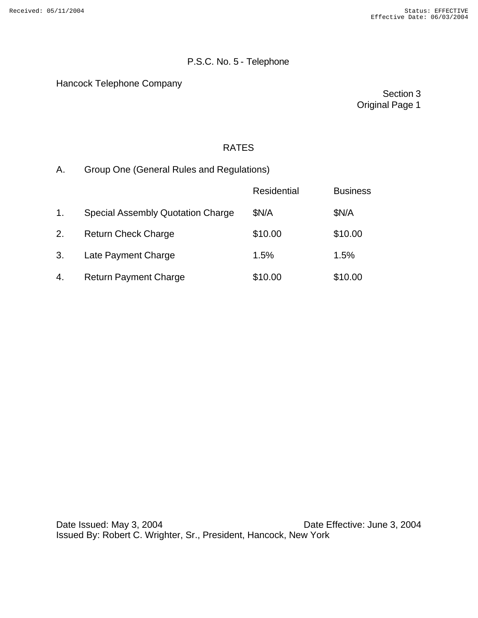# Hancock Telephone Company

Section 3 Original Page 1

# RATES

A. Group One (General Rules and Regulations)

|    |                                          | <b>Residential</b> | <b>Business</b> |
|----|------------------------------------------|--------------------|-----------------|
| 1. | <b>Special Assembly Quotation Charge</b> | \$N/A              | \$N/A           |
| 2. | <b>Return Check Charge</b>               | \$10.00            | \$10.00         |
| 3. | Late Payment Charge                      | 1.5%               | 1.5%            |
| 4. | <b>Return Payment Charge</b>             | \$10.00            | \$10.00         |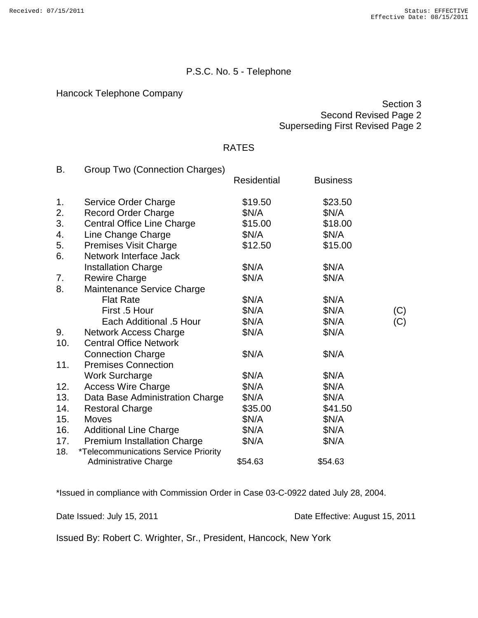Hancock Telephone Company

Section 3

Second Revised Page 2

Superseding First Revised Page 2

## RATES

| В.  | Group Two (Connection Charges)              |                    |                 |     |
|-----|---------------------------------------------|--------------------|-----------------|-----|
|     |                                             | <b>Residential</b> | <b>Business</b> |     |
| 1.  | Service Order Charge                        | \$19.50            | \$23.50         |     |
| 2.  | <b>Record Order Charge</b>                  | \$N/A              | \$N/A           |     |
| 3.  | <b>Central Office Line Charge</b>           | \$15.00            | \$18.00         |     |
| 4.  | Line Change Charge                          | \$N/A              | \$N/A           |     |
| 5.  | <b>Premises Visit Charge</b>                | \$12.50            | \$15.00         |     |
| 6.  | Network Interface Jack                      |                    |                 |     |
|     | <b>Installation Charge</b>                  | \$N/A              | \$N/A           |     |
| 7.  | <b>Rewire Charge</b>                        | \$N/A              | \$N/A           |     |
| 8.  | Maintenance Service Charge                  |                    |                 |     |
|     | <b>Flat Rate</b>                            | \$N/A              | \$N/A           |     |
|     | First .5 Hour                               | \$N/A              | \$N/A           | (C) |
|     | <b>Each Additional .5 Hour</b>              | \$N/A              | \$N/A           | (C) |
| 9.  | <b>Network Access Charge</b>                | \$N/A              | \$N/A           |     |
| 10. | <b>Central Office Network</b>               |                    |                 |     |
|     | <b>Connection Charge</b>                    | \$N/A              | \$N/A           |     |
| 11. | <b>Premises Connection</b>                  |                    |                 |     |
|     | <b>Work Surcharge</b>                       | \$N/A              | \$N/A           |     |
| 12. | <b>Access Wire Charge</b>                   | \$N/A              | \$N/A           |     |
| 13. | Data Base Administration Charge             | \$N/A              | \$N/A           |     |
| 14. | <b>Restoral Charge</b>                      | \$35.00            | \$41.50         |     |
| 15. | <b>Moves</b>                                | \$N/A              | \$N/A           |     |
| 16. | <b>Additional Line Charge</b>               | \$N/A              | \$N/A           |     |
| 17. | Premium Installation Charge                 | \$N/A              | \$N/A           |     |
| 18. | <i>*Telecommunications Service Priority</i> |                    |                 |     |
|     | <b>Administrative Charge</b>                | \$54.63            | \$54.63         |     |

\*Issued in compliance with Commission Order in Case 03-C-0922 dated July 28, 2004.

Date Issued: July 15, 2011 **Date Effective: August 15, 2011**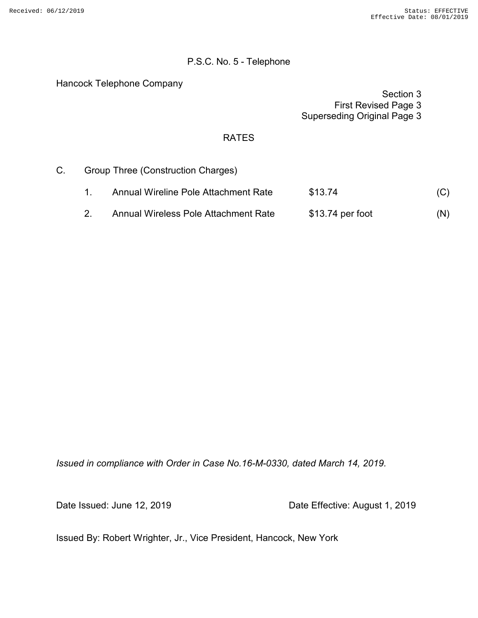Hancock Telephone Company

Section 3 First Revised Page 3 Superseding Original Page 3

#### RATES

C. Group Three (Construction Charges)

| Annual Wireline Pole Attachment Rate | \$13.74           | (C) |
|--------------------------------------|-------------------|-----|
| Annual Wireless Pole Attachment Rate | $$13.74$ per foot | (N) |

*Issued in compliance with Order in Case No.16-M-0330, dated March 14, 2019.* 

Date Issued: June 12, 2019 **Date Effective: August 1, 2019**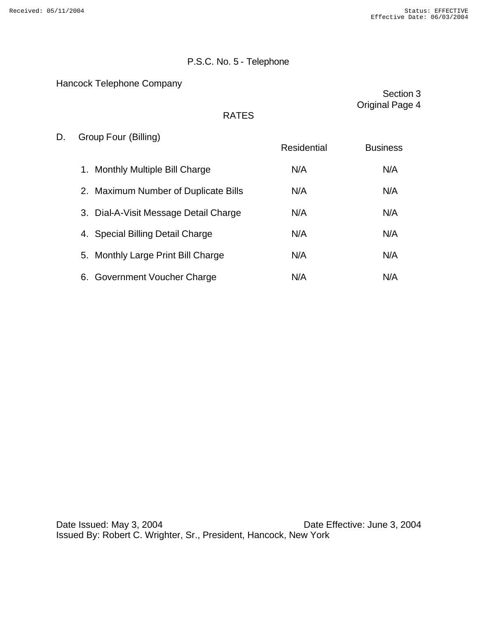Hancock Telephone Company

|    | <b>RATES</b>                          |                    | Section 3<br>Original Page 4 |
|----|---------------------------------------|--------------------|------------------------------|
| D. | Group Four (Billing)                  | <b>Residential</b> | <b>Business</b>              |
|    | 1. Monthly Multiple Bill Charge       | N/A                | N/A                          |
|    | 2. Maximum Number of Duplicate Bills  | N/A                | N/A                          |
|    | 3. Dial-A-Visit Message Detail Charge | N/A                | N/A                          |
|    | 4. Special Billing Detail Charge      | N/A                | N/A                          |
|    | 5. Monthly Large Print Bill Charge    | N/A                | N/A                          |
|    | 6. Government Voucher Charge          | N/A                | N/A                          |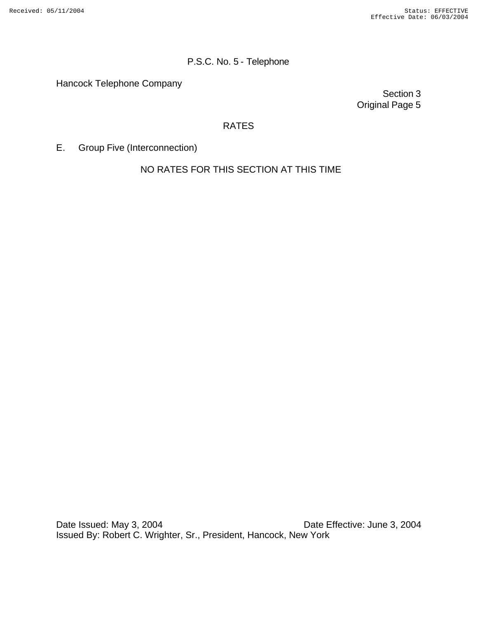Hancock Telephone Company

Section 3 Original Page 5

## RATES

E. Group Five (Interconnection)

NO RATES FOR THIS SECTION AT THIS TIME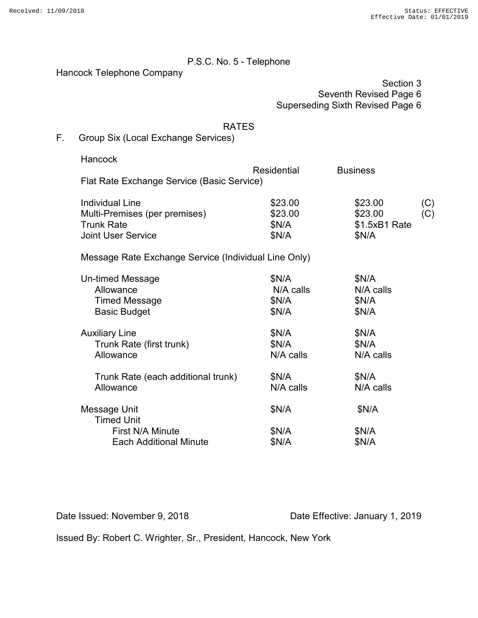Hancock Telephone Company

## Section 3 Seventh Revised Page 6 Superseding Sixth Revised Page 6

#### RATES

F. Group Six (Local Exchange Services)

**Hancock** 

|                                                                                                           | <b>Residential</b>                   | <b>Business</b>                              |            |
|-----------------------------------------------------------------------------------------------------------|--------------------------------------|----------------------------------------------|------------|
| Flat Rate Exchange Service (Basic Service)                                                                |                                      |                                              |            |
| <b>Individual Line</b><br>Multi-Premises (per premises)<br><b>Trunk Rate</b><br><b>Joint User Service</b> | \$23.00<br>\$23.00<br>\$N/A<br>\$N/A | \$23.00<br>\$23.00<br>\$1.5xB1 Rate<br>\$N/A | (C)<br>(C) |
| Message Rate Exchange Service (Individual Line Only)                                                      |                                      |                                              |            |
| Un-timed Message<br>Allowance<br><b>Timed Message</b><br><b>Basic Budget</b>                              | \$N/A<br>N/A calls<br>\$N/A<br>\$N/A | \$N/A<br>N/A calls<br>\$N/A<br>\$N/A         |            |
| <b>Auxiliary Line</b><br>Trunk Rate (first trunk)<br>Allowance<br>Trunk Rate (each additional trunk)      | \$N/A<br>\$N/A<br>N/A calls<br>\$N/A | \$N/A<br>\$N/A<br>N/A calls<br>\$N/A         |            |
| Allowance                                                                                                 | N/A calls                            | N/A calls                                    |            |
| Message Unit<br><b>Timed Unit</b>                                                                         | \$N/A                                | \$N/A                                        |            |

First N/A Minute  $$N/A$  \$N/A \$N/A Each Additional Minute  $N/A$  \$N/A \$N/A

Date Issued: November 9, 2018 Date Effective: January 1, 2019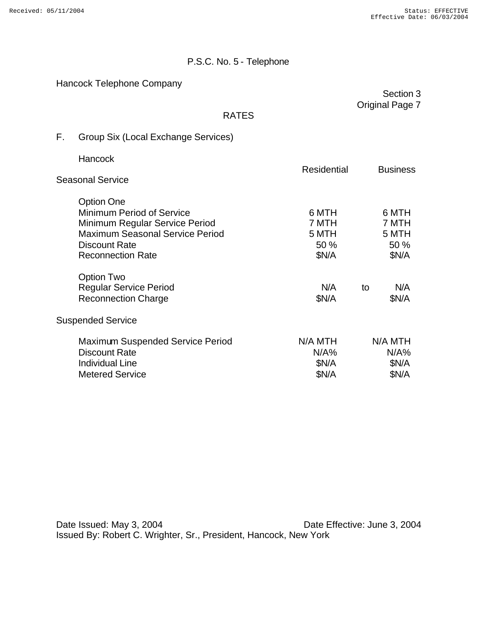Hancock Telephone Company

Section 3 Original Page 7

RATES

| F. | Group Six (Local Exchange Services)                                                                                                                                            |                                          |                                          |
|----|--------------------------------------------------------------------------------------------------------------------------------------------------------------------------------|------------------------------------------|------------------------------------------|
|    | Hancock                                                                                                                                                                        | Residential                              | <b>Business</b>                          |
|    | <b>Seasonal Service</b>                                                                                                                                                        |                                          |                                          |
|    | <b>Option One</b><br>Minimum Period of Service<br>Minimum Regular Service Period<br><b>Maximum Seasonal Service Period</b><br><b>Discount Rate</b><br><b>Reconnection Rate</b> | 6 MTH<br>7 MTH<br>5 MTH<br>50 %<br>\$N/A | 6 MTH<br>7 MTH<br>5 MTH<br>50 %<br>\$N/A |
|    | <b>Option Two</b><br><b>Regular Service Period</b><br><b>Reconnection Charge</b>                                                                                               | N/A<br>\$N/A                             | N/A<br>to<br>\$N/A                       |
|    | <b>Suspended Service</b>                                                                                                                                                       |                                          |                                          |
|    | <b>Maximum Suspended Service Period</b><br><b>Discount Rate</b><br><b>Individual Line</b><br><b>Metered Service</b>                                                            | N/A MTH<br>$N/A\%$<br>\$N/A<br>\$N/A     | N/A MTH<br>$N/A\%$<br>\$N/A<br>\$N/A     |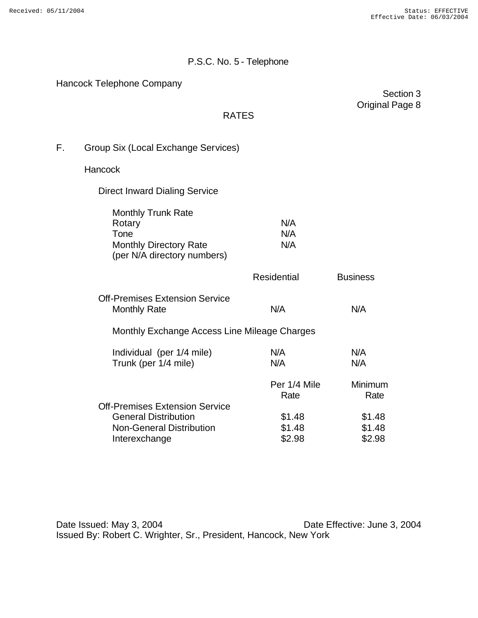Hancock Telephone Company

|                 | Section 3 |
|-----------------|-----------|
| Original Page 8 |           |
|                 |           |

RATES

F. Group Six (Local Exchange Services)

**Hancock** 

Direct Inward Dialing Service

| <b>Monthly Trunk Rate</b>     |     |
|-------------------------------|-----|
| Rotary                        | N/A |
| Tone                          | N/A |
| <b>Monthly Directory Rate</b> | N/A |
| (per N/A directory numbers)   |     |

|                                                              | <b>Residential</b>   | <b>Business</b> |
|--------------------------------------------------------------|----------------------|-----------------|
| <b>Off-Premises Extension Service</b><br><b>Monthly Rate</b> | N/A                  | N/A             |
| Monthly Exchange Access Line Mileage Charges                 |                      |                 |
| Individual (per 1/4 mile)<br>Trunk (per 1/4 mile)            | N/A<br>N/A           | N/A<br>N/A      |
|                                                              | Per 1/4 Mile<br>Rate | Minimum<br>Rate |
| <b>Off-Premises Extension Service</b>                        |                      |                 |
| <b>General Distribution</b>                                  | \$1.48               | \$1.48          |
| <b>Non-General Distribution</b>                              | \$1.48               | \$1.48          |
| Interexchange                                                | \$2.98               | \$2.98          |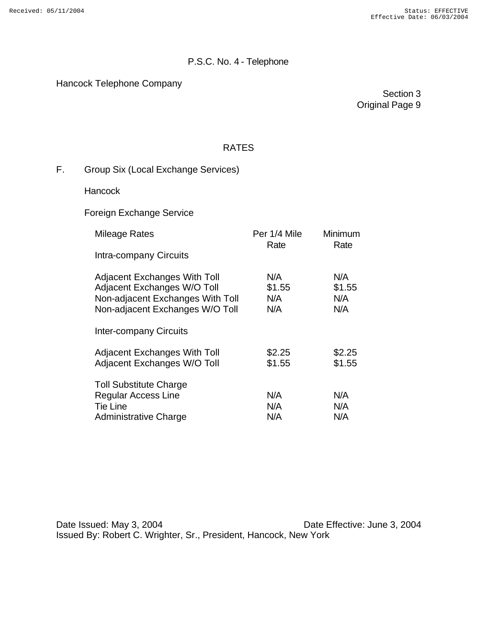Hancock Telephone Company

Section 3 Original Page 9

## RATES

F. Group Six (Local Exchange Services)

**Hancock** 

Foreign Exchange Service

| <b>Mileage Rates</b>                                                                                                               | Per 1/4 Mile<br>Rate        | Minimum<br>Rate             |
|------------------------------------------------------------------------------------------------------------------------------------|-----------------------------|-----------------------------|
| <b>Intra-company Circuits</b>                                                                                                      |                             |                             |
| Adjacent Exchanges With Toll<br>Adjacent Exchanges W/O Toll<br>Non-adjacent Exchanges With Toll<br>Non-adjacent Exchanges W/O Toll | N/A<br>\$1.55<br>N/A<br>N/A | N/A<br>\$1.55<br>N/A<br>N/A |
| <b>Inter-company Circuits</b>                                                                                                      |                             |                             |
| <b>Adjacent Exchanges With Toll</b><br>Adjacent Exchanges W/O Toll                                                                 | \$2.25<br>\$1.55            | \$2.25<br>\$1.55            |
| <b>Toll Substitute Charge</b><br>Regular Access Line<br>Tie Line<br><b>Administrative Charge</b>                                   | N/A<br>N/A<br>N/A           | N/A<br>N/A<br>N/A           |
|                                                                                                                                    |                             |                             |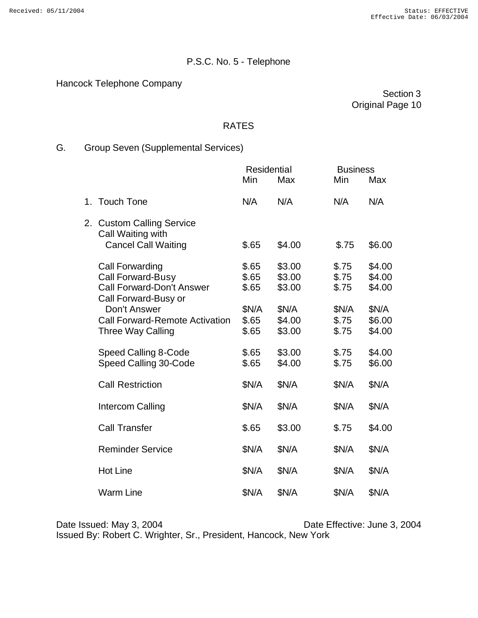Hancock Telephone Company

Section 3 Original Page 10

#### RATES

## G. Group Seven (Supplemental Services)

|                |                                                                              | <b>Residential</b> |        | <b>Business</b> |        |
|----------------|------------------------------------------------------------------------------|--------------------|--------|-----------------|--------|
|                |                                                                              | Min                | Max    | Min             | Max    |
| 1 <sub>1</sub> | <b>Touch Tone</b>                                                            | N/A                | N/A    | N/A             | N/A    |
|                | 2. Custom Calling Service<br>Call Waiting with<br><b>Cancel Call Waiting</b> | \$.65              | \$4.00 | \$.75           | \$6.00 |
|                |                                                                              |                    |        |                 |        |
|                | Call Forwarding                                                              | \$.65              | \$3.00 | \$.75           | \$4.00 |
|                | Call Forward-Busy                                                            | \$.65              | \$3.00 | \$.75           | \$4.00 |
|                | <b>Call Forward-Don't Answer</b>                                             | \$.65              | \$3.00 | \$.75           | \$4.00 |
|                | Call Forward-Busy or                                                         |                    |        |                 |        |
|                | Don't Answer                                                                 | \$N/A              | \$N/A  | \$N/A           | \$N/A  |
|                | <b>Call Forward-Remote Activation</b>                                        | \$.65              | \$4.00 | \$.75           | \$6.00 |
|                | <b>Three Way Calling</b>                                                     | \$.65              | \$3.00 | \$.75           | \$4.00 |
|                | Speed Calling 8-Code                                                         | \$.65              | \$3.00 | \$.75           | \$4.00 |
|                | Speed Calling 30-Code                                                        | \$.65              | \$4.00 | \$.75           | \$6.00 |
|                |                                                                              |                    |        |                 |        |
|                | <b>Call Restriction</b>                                                      | \$N/A              | \$N/A  | \$N/A           | \$N/A  |
|                |                                                                              |                    |        |                 |        |
|                | Intercom Calling                                                             | \$N/A              | \$N/A  | \$N/A           | \$N/A  |
|                |                                                                              |                    |        |                 |        |
|                | <b>Call Transfer</b>                                                         | \$.65              | \$3.00 | \$.75           | \$4.00 |
|                | <b>Reminder Service</b>                                                      | \$N/A              | \$N/A  | \$N/A           | \$N/A  |
|                |                                                                              |                    |        |                 |        |
|                | <b>Hot Line</b>                                                              | \$N/A              | \$N/A  | \$N/A           | \$N/A  |
|                |                                                                              |                    |        |                 |        |
|                | <b>Warm Line</b>                                                             | \$N/A              | \$N/A  | \$N/A           | \$N/A  |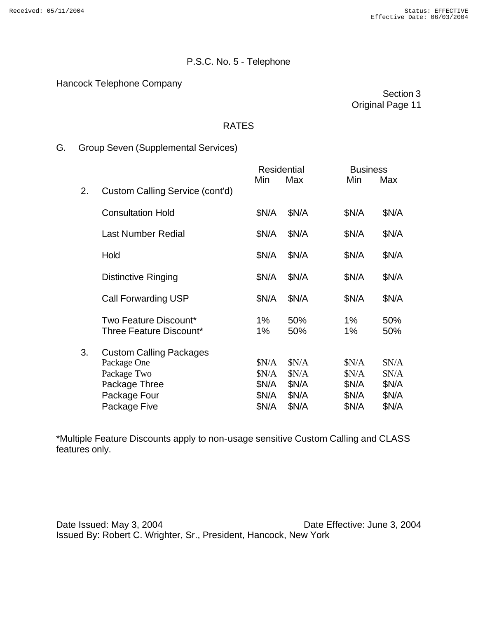Hancock Telephone Company

Section 3 Original Page 11

#### RATES

## G. Group Seven (Supplemental Services)

|    |                                                                                                               |                                           | <b>Residential</b>                       | <b>Business</b>                          |                                           |
|----|---------------------------------------------------------------------------------------------------------------|-------------------------------------------|------------------------------------------|------------------------------------------|-------------------------------------------|
| 2. | Custom Calling Service (cont'd)                                                                               | Min                                       | Max                                      | Min                                      | Max                                       |
|    | <b>Consultation Hold</b>                                                                                      | \$N/A                                     | \$N/A                                    | \$N/A                                    | \$N/A                                     |
|    | <b>Last Number Redial</b>                                                                                     | \$N/A                                     | \$N/A                                    | \$N/A                                    | \$N/A                                     |
|    | Hold                                                                                                          | \$N/A                                     | \$N/A                                    | \$N/A                                    | \$N/A                                     |
|    | <b>Distinctive Ringing</b>                                                                                    | \$N/A                                     | \$N/A                                    | \$N/A                                    | \$N/A                                     |
|    | <b>Call Forwarding USP</b>                                                                                    | \$N/A                                     | \$N/A                                    | \$N/A                                    | \$N/A                                     |
|    | Two Feature Discount*<br>Three Feature Discount*                                                              | 1%<br>1%                                  | 50%<br>50%                               | 1%<br>1%                                 | 50%<br>50%                                |
| 3. | <b>Custom Calling Packages</b><br>Package One<br>Package Two<br>Package Three<br>Package Four<br>Package Five | \$N/A<br>\$N/A<br>\$N/A<br>\$N/A<br>\$N/A | \$N/A<br>SN/A<br>\$N/A<br>\$N/A<br>\$N/A | SN/A<br>\$N/A<br>\$N/A<br>\$N/A<br>\$N/A | \$N/A<br>\$N/A<br>\$N/A<br>\$N/A<br>\$N/A |

\*Multiple Feature Discounts apply to non-usage sensitive Custom Calling and CLASS features only.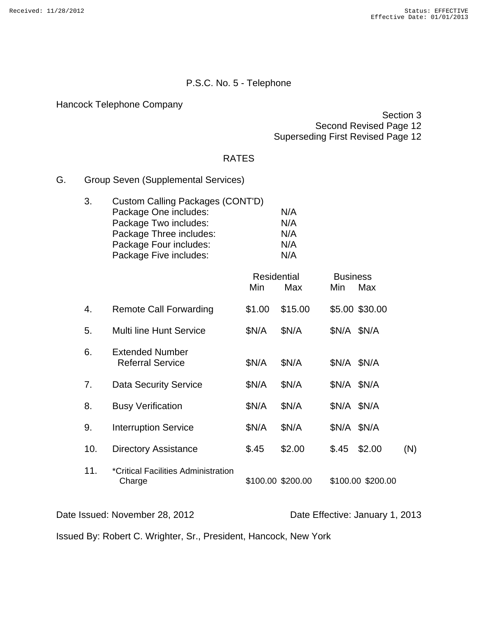Hancock Telephone Company

#### Section 3 Second Revised Page 12 Superseding First Revised Page 12

## RATES

G. Group Seven (Supplemental Services)

| 3. | Custom Calling Packages (CONT'D) |     |  |
|----|----------------------------------|-----|--|
|    | Package One includes:            | N/A |  |
|    | Package Two includes:            | N/A |  |
|    | Package Three includes:          | N/A |  |
|    | Package Four includes:           | N/A |  |
|    | Package Five includes:           | N/A |  |

|                |                                                   | Residential<br>Min | Max               | <b>Business</b><br>Min. | Max               |     |
|----------------|---------------------------------------------------|--------------------|-------------------|-------------------------|-------------------|-----|
| 4.             | Remote Call Forwarding                            | \$1.00             | \$15.00           |                         | \$5.00 \$30.00    |     |
| 5.             | <b>Multi line Hunt Service</b>                    | \$N/A              | \$N/A             |                         | \$N/A \$N/A       |     |
| 6.             | <b>Extended Number</b><br><b>Referral Service</b> | \$N/A              | \$N/A             |                         | \$N/A \$N/A       |     |
| 7 <sub>1</sub> | <b>Data Security Service</b>                      | \$N/A              | \$N/A             |                         | \$N/A \$N/A       |     |
| 8.             | <b>Busy Verification</b>                          | \$N/A              | \$N/A             |                         | \$N/A \$N/A       |     |
| 9.             | <b>Interruption Service</b>                       | \$N/A              | \$N/A             |                         | \$N/A \$N/A       |     |
| 10.            | <b>Directory Assistance</b>                       | \$.45              | \$2.00            | \$.45                   | \$2.00            | (N) |
| 11.            | *Critical Facilities Administration<br>Charge     |                    | \$100.00 \$200.00 |                         | \$100.00 \$200.00 |     |

Date Issued: November 28, 2012 Date Effective: January 1, 2013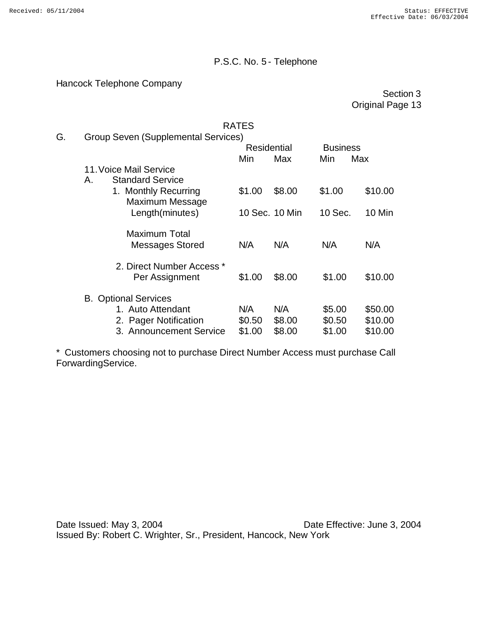Hancock Telephone Company

Section 3 Original Page 13

## RATES

| G. | Group Seven (Supplemental Services) |                |        |                 |         |  |
|----|-------------------------------------|----------------|--------|-----------------|---------|--|
|    |                                     | Residential    |        | <b>Business</b> |         |  |
|    |                                     | Min            | Max    | Min             | Max     |  |
|    | 11. Voice Mail Service              |                |        |                 |         |  |
|    | <b>Standard Service</b><br>Α.       |                |        |                 |         |  |
|    | 1. Monthly Recurring                | \$1.00         | \$8.00 | \$1.00          | \$10.00 |  |
|    | Maximum Message                     |                |        |                 |         |  |
|    | Length(minutes)                     | 10 Sec. 10 Min |        | 10 Sec.         | 10 Min  |  |
|    |                                     |                |        |                 |         |  |
|    | <b>Maximum Total</b>                |                |        |                 |         |  |
|    | <b>Messages Stored</b>              | N/A            | N/A    | N/A             | N/A     |  |
|    |                                     |                |        |                 |         |  |
|    | 2. Direct Number Access *           |                |        |                 |         |  |
|    | Per Assignment                      | \$1.00         | \$8.00 | \$1.00          | \$10.00 |  |
|    |                                     |                |        |                 |         |  |
|    | <b>B.</b> Optional Services         |                |        |                 |         |  |
|    | 1. Auto Attendant                   | N/A            | N/A    | \$5.00          | \$50.00 |  |
|    | 2. Pager Notification               | \$0.50         | \$8.00 | \$0.50          | \$10.00 |  |
|    | 3. Announcement Service             | \$1.00         | \$8.00 | \$1.00          | \$10.00 |  |

\* Customers choosing not to purchase Direct Number Access must purchase Call ForwardingService.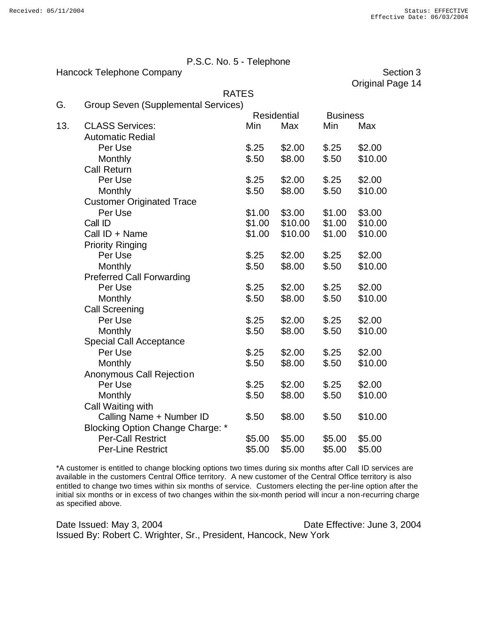Hancock Telephone Company Section 3

Original Page 14

#### RATES

| G. |  | Group Seven (Supplemental Services) |  |
|----|--|-------------------------------------|--|
|----|--|-------------------------------------|--|

|     |                                         |        | <b>Residential</b> | <b>Business</b> |         |
|-----|-----------------------------------------|--------|--------------------|-----------------|---------|
| 13. | <b>CLASS Services:</b>                  | Min    | Max                | Min             | Max     |
|     | <b>Automatic Redial</b>                 |        |                    |                 |         |
|     | Per Use                                 | \$.25  | \$2.00             | \$.25           | \$2.00  |
|     | Monthly                                 | \$.50  | \$8.00             | \$.50           | \$10.00 |
|     | <b>Call Return</b>                      |        |                    |                 |         |
|     | Per Use                                 | \$.25  | \$2.00             | \$.25           | \$2.00  |
|     | Monthly                                 | \$.50  | \$8.00             | \$.50           | \$10.00 |
|     | <b>Customer Originated Trace</b>        |        |                    |                 |         |
|     | Per Use                                 | \$1.00 | \$3.00             | \$1.00          | \$3.00  |
|     | Call ID                                 | \$1.00 | \$10.00            | \$1.00          | \$10.00 |
|     | Call ID + Name                          | \$1.00 | \$10.00            | \$1.00          | \$10.00 |
|     | <b>Priority Ringing</b>                 |        |                    |                 |         |
|     | Per Use                                 | \$.25  | \$2.00             | \$.25           | \$2.00  |
|     | Monthly                                 | \$.50  | \$8.00             | \$.50           | \$10.00 |
|     | <b>Preferred Call Forwarding</b>        |        |                    |                 |         |
|     | Per Use                                 | \$.25  | \$2.00             | \$.25           | \$2.00  |
|     | Monthly                                 | \$.50  | \$8.00             | \$.50           | \$10.00 |
|     | <b>Call Screening</b>                   |        |                    |                 |         |
|     | Per Use                                 | \$.25  | \$2.00             | \$.25           | \$2.00  |
|     | Monthly                                 | \$.50  | \$8.00             | \$.50           | \$10.00 |
|     | <b>Special Call Acceptance</b>          |        |                    |                 |         |
|     | Per Use                                 | \$.25  | \$2.00             | \$.25           | \$2.00  |
|     | Monthly                                 | \$.50  | \$8.00             | \$.50           | \$10.00 |
|     | Anonymous Call Rejection                |        |                    |                 |         |
|     | Per Use                                 | \$.25  | \$2.00             | \$.25           | \$2.00  |
|     | Monthly                                 | \$.50  | \$8.00             | \$.50           | \$10.00 |
|     | Call Waiting with                       |        |                    |                 |         |
|     | Calling Name + Number ID                | \$.50  | \$8.00             | \$.50           | \$10.00 |
|     | <b>Blocking Option Change Charge: *</b> |        |                    |                 |         |
|     | <b>Per-Call Restrict</b>                | \$5.00 | \$5.00             | \$5.00          | \$5.00  |
|     | <b>Per-Line Restrict</b>                | \$5.00 | \$5.00             | \$5.00          | \$5.00  |

\*A customer is entitled to change blocking options two times during six months after Call ID services are available in the customers Central Office territory. A new customer of the Central Office territory is also entitled to change two times within six months of service. Customers electing the per-line option after the initial six months or in excess of two changes within the six-month period will incur a non-recurring charge as specified above.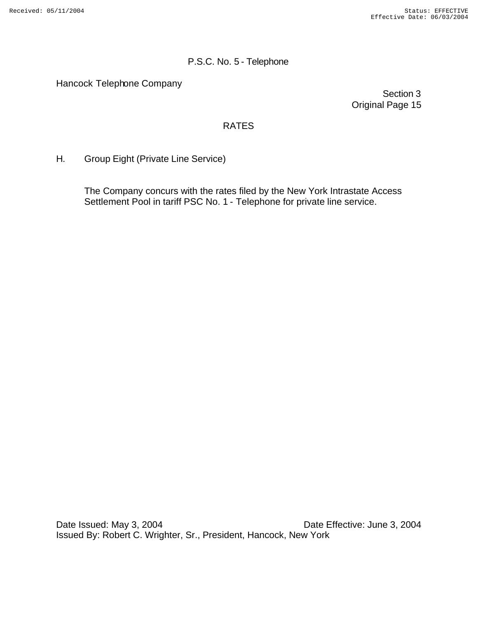Hancock Telephone Company

Section 3 Original Page 15

## RATES

H. Group Eight (Private Line Service)

The Company concurs with the rates filed by the New York Intrastate Access Settlement Pool in tariff PSC No. 1 - Telephone for private line service.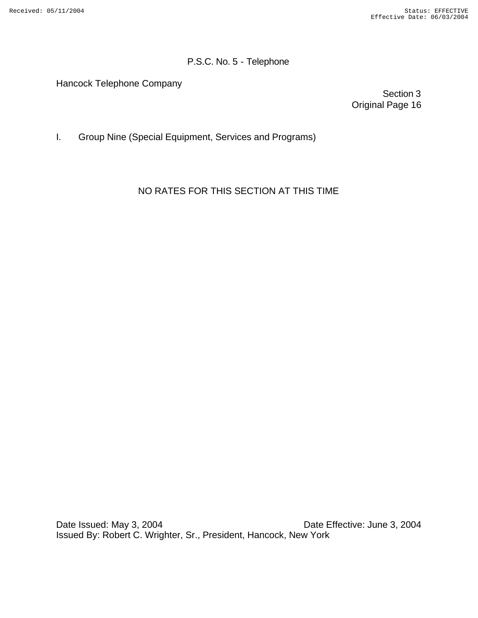Hancock Telephone Company

Section 3 Original Page 16

I. Group Nine (Special Equipment, Services and Programs)

## NO RATES FOR THIS SECTION AT THIS TIME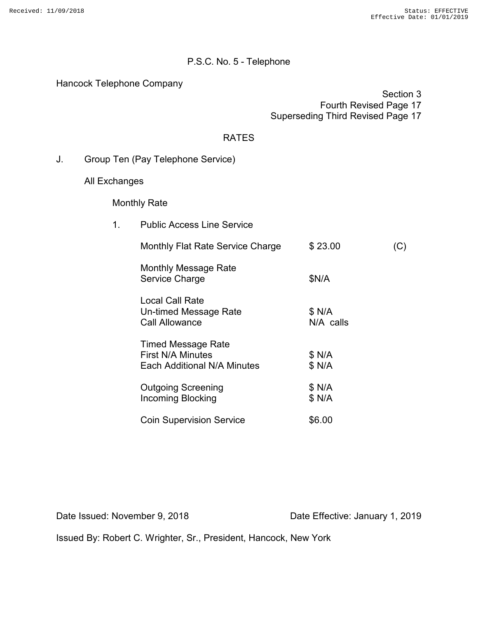#### Hancock Telephone Company

|  | Section 3 |  |
|--|-----------|--|
|  |           |  |

Fourth Revised Page 17 Superseding Third Revised Page 17

## RATES

J. Group Ten (Pay Telephone Service)

All Exchanges

Monthly Rate

1. Public Access Line Service Monthly Flat Rate Service Charge \$23.00 (C) Monthly Message Rate Service Charge **\$N/A** Local Call Rate Un-timed Message Rate  $$ N/A$ <br>Call Allowance  $$ N/A$  calls Call Allowance Timed Message Rate First N/A Minutes  $$ N/A$ Each Additional N/A Minutes \$ N/A Outgoing Screening  $$ N/A$ Incoming Blocking **6 19 and 19 and 19 and 19 and 19 and 19 and 19 and 19 and 19 and 19 and 19 and 19 and 19 and 19 and 19 and 19 and 19 and 19 and 19 and 19 and 19 and 19 and 19 and 19 and 19 and 19 and 19 and 19 and 19 an** Coin Supervision Service  $$6.00$ 

Date Issued: November 9, 2018 Date Effective: January 1, 2019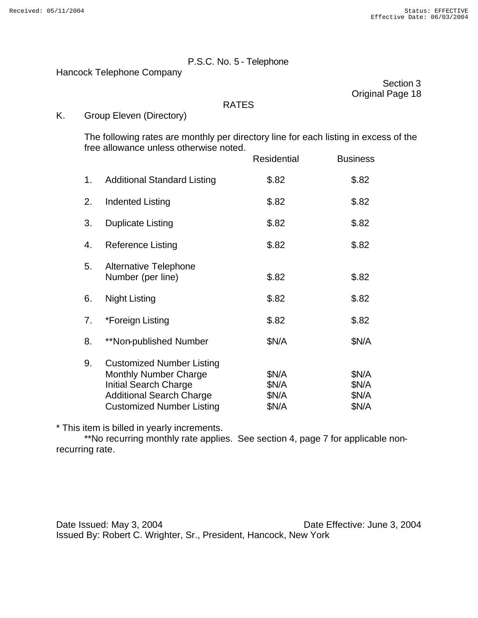Hancock Telephone Company

Section 3 Original Page 18

#### RATES

K. Group Eleven (Directory)

The following rates are monthly per directory line for each listing in excess of the free allowance unless otherwise noted.

|    |                                                                                                                                                                         | Residential                      | <b>Business</b>                  |
|----|-------------------------------------------------------------------------------------------------------------------------------------------------------------------------|----------------------------------|----------------------------------|
| 1. | <b>Additional Standard Listing</b>                                                                                                                                      | \$.82                            | \$.82                            |
| 2. | <b>Indented Listing</b>                                                                                                                                                 | \$.82                            | \$.82                            |
| 3. | <b>Duplicate Listing</b>                                                                                                                                                | \$.82                            | \$.82                            |
| 4. | Reference Listing                                                                                                                                                       | \$.82                            | \$.82                            |
| 5. | <b>Alternative Telephone</b><br>Number (per line)                                                                                                                       | \$.82                            | \$.82                            |
| 6. | Night Listing                                                                                                                                                           | \$.82                            | \$.82                            |
| 7. | *Foreign Listing                                                                                                                                                        | \$.82                            | \$.82                            |
| 8. | **Non-published Number                                                                                                                                                  | \$N/A                            | \$N/A                            |
| 9. | <b>Customized Number Listing</b><br><b>Monthly Number Charge</b><br><b>Initial Search Charge</b><br><b>Additional Search Charge</b><br><b>Customized Number Listing</b> | \$N/A<br>\$N/A<br>\$N/A<br>\$N/A | \$N/A<br>\$N/A<br>\$N/A<br>\$N/A |

\* This item is billed in yearly increments.

\*\*No recurring monthly rate applies. See section 4, page 7 for applicable nonrecurring rate.